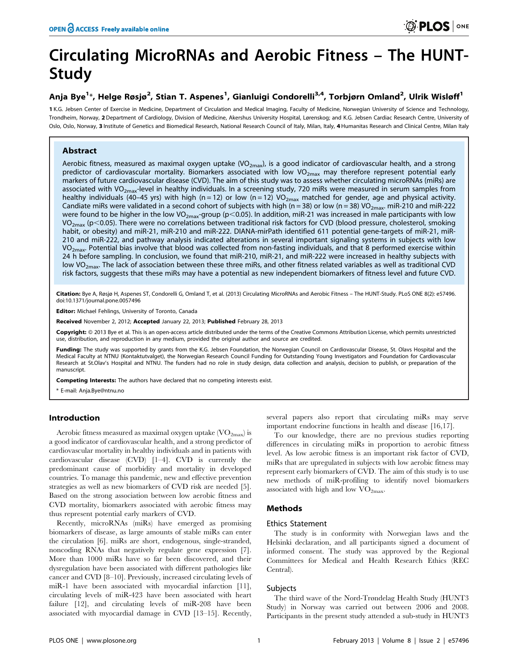# Circulating MicroRNAs and Aerobic Fitness – The HUNT-Study

## Anja Bye<sup>1</sup>\*, Helge Røsjø<sup>2</sup>, Stian T. Aspenes<sup>1</sup>, Gianluigi Condorelli<sup>3,4</sup>, Torbjørn Omland<sup>2</sup>, Ulrik Wisløff<sup>1</sup>

1 K.G. Jebsen Center of Exercise in Medicine, Department of Circulation and Medical Imaging, Faculty of Medicine, Norwegian University of Science and Technology, Trondheim, Norway, 2 Department of Cardiology, Division of Medicine, Akershus University Hospital, Lørenskog; and K.G. Jebsen Cardiac Research Centre, University of Oslo, Oslo, Norway, 3 Institute of Genetics and Biomedical Research, National Research Council of Italy, Milan, Italy, 4 Humanitas Research and Clinical Centre, Milan Italy

## Abstract

Aerobic fitness, measured as maximal oxygen uptake (VO<sub>2max</sub>), is a good indicator of cardiovascular health, and a strong predictor of cardiovascular mortality. Biomarkers associated with low  $VO_{2max}$  may therefore represent potential early markers of future cardiovascular disease (CVD). The aim of this study was to assess whether circulating microRNAs (miRs) are associated with VO<sub>2max</sub>-level in healthy individuals. In a screening study, 720 miRs were measured in serum samples from healthy individuals (40–45 yrs) with high (n = 12) or low (n = 12) VO<sub>2max</sub> matched for gender, age and physical activity. Candiate miRs were validated in a second cohort of subjects with high (n = 38) or low (n = 38) VO<sub>2max</sub>. miR-210 and miR-222 were found to be higher in the low VO<sub>2max</sub>-group (p<0.05). In addition, miR-21 was increased in male participants with low VO<sub>2max</sub> (p<0.05). There were no correlations between traditional risk factors for CVD (blood pressure, cholesterol, smoking habit, or obesity) and miR-21, miR-210 and miR-222. DIANA-mirPath identified 611 potential gene-targets of miR-21, miR-210 and miR-222, and pathway analysis indicated alterations in several important signaling systems in subjects with low  $VO<sub>2max</sub>$ . Potential bias involve that blood was collected from non-fasting individuals, and that 8 performed exercise within 24 h before sampling. In conclusion, we found that miR-210, miR-21, and miR-222 were increased in healthy subjects with low VO<sub>2max</sub>. The lack of association between these three miRs, and other fitness related variables as well as traditional CVD risk factors, suggests that these miRs may have a potential as new independent biomarkers of fitness level and future CVD.

Citation: Bye A, Røsjø H, Aspenes ST, Condorelli G, Omland T, et al. (2013) Circulating MicroRNAs and Aerobic Fitness - The HUNT-Study. PLoS ONE 8(2): e57496. doi:10.1371/journal.pone.0057496

Editor: Michael Fehlings, University of Toronto, Canada

Received November 2, 2012; Accepted January 22, 2013; Published February 28, 2013

Copyright: @ 2013 Bye et al. This is an open-access article distributed under the terms of the Creative Commons Attribution License, which permits unrestricted use, distribution, and reproduction in any medium, provided the original author and source are credited.

Funding: The study was supported by grants from the K.G. Jebsen Foundation, the Norwegian Council on Cardiovascular Disease, St. Olavs Hospital and the Medical Faculty at NTNU (Kontaktutvalget), the Norwegian Research Council Funding for Outstanding Young Investigators and Foundation for Cardiovascular Research at St.Olav's Hospital and NTNU. The funders had no role in study design, data collection and analysis, decision to publish, or preparation of the manuscript.

Competing Interests: The authors have declared that no competing interests exist.

\* E-mail: Anja.Bye@ntnu.no

## Introduction

Aerobic fitness measured as maximal oxygen uptake  $\rm (VO_{2max})$  is a good indicator of cardiovascular health, and a strong predictor of cardiovascular mortality in healthy individuals and in patients with cardiovascular disease (CVD) [1–4]. CVD is currently the predominant cause of morbidity and mortality in developed countries. To manage this pandemic, new and effective prevention strategies as well as new biomarkers of CVD risk are needed [5]. Based on the strong association between low aerobic fitness and CVD mortality, biomarkers associated with aerobic fitness may thus represent potential early markers of CVD.

Recently, microRNAs (miRs) have emerged as promising biomarkers of disease, as large amounts of stable miRs can enter the circulation [6]. miRs are short, endogenous, single-stranded, noncoding RNAs that negatively regulate gene expression [7]. More than 1000 miRs have so far been discovered, and their dysregulation have been associated with different pathologies like cancer and CVD [8–10]. Previously, increased circulating levels of miR-1 have been associated with myocardial infarction [11], circulating levels of miR-423 have been associated with heart failure [12], and circulating levels of miR-208 have been associated with myocardial damage in CVD [13–15]. Recently,

several papers also report that circulating miRs may serve important endocrine functions in health and disease [16,17].

To our knowledge, there are no previous studies reporting differences in circulating miRs in proportion to aerobic fitness level. As low aerobic fitness is an important risk factor of CVD, miRs that are upregulated in subjects with low aerobic fitness may represent early biomarkers of CVD. The aim of this study is to use new methods of miR-profiling to identify novel biomarkers associated with high and low  $\rm VO_{2max}$ .

## Methods

## Ethics Statement

The study is in conformity with Norwegian laws and the Helsinki declaration, and all participants signed a document of informed consent. The study was approved by the Regional Committees for Medical and Health Research Ethics (REC Central).

## **Subjects**

The third wave of the Nord-Trøndelag Health Study (HUNT3 Study) in Norway was carried out between 2006 and 2008. Participants in the present study attended a sub-study in HUNT3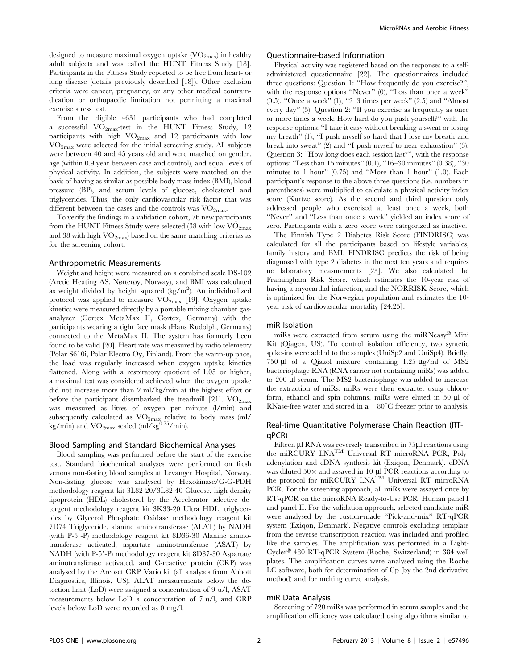designed to measure maximal oxygen uptake  $\rm (VO_{2max})$  in healthy adult subjects and was called the HUNT Fitness Study [18]. Participants in the Fitness Study reported to be free from heart- or lung disease (details previously described [18]). Other exclusion criteria were cancer, pregnancy, or any other medical contraindication or orthopaedic limitation not permitting a maximal exercise stress test.

From the eligible 4631 participants who had completed a successful  $\rm VO_{2max}$ -test in the HUNT Fitness Study, 12 participants with high  $VO_{2max}$  and 12 participants with low  $\rm VO_{2max}$  were selected for the initial screening study. All subjects were between 40 and 45 years old and were matched on gender, age (within 0.9 year between case and control), and equal levels of physical activity. In addition, the subjects were matched on the basis of having as similar as possible body mass index (BMI), blood pressure (BP), and serum levels of glucose, cholesterol and triglycerides. Thus, the only cardiovascular risk factor that was different between the cases and the controls was  $\rm VO_{2max}$ .

To verify the findings in a validation cohort, 76 new participants from the HUNT Fitness Study were selected (38 with low  $\rm VO_{2max}$ and 38 with high  $VO_{2max}$ ) based on the same matching criterias as for the screening cohort.

#### Anthropometric Measurements

Weight and height were measured on a combined scale DS-102 (Arctic Heating AS, Nøtterøy, Norway), and BMI was calculated as weight divided by height squared (kg/m<sup>2</sup>). An individualized protocol was applied to measure  $VO_{2max}$  [19]. Oxygen uptake kinetics were measured directly by a portable mixing chamber gasanalyzer (Cortex MetaMax II, Cortex, Germany) with the participants wearing a tight face mask (Hans Rudolph, Germany) connected to the MetaMax II. The system has formerly been found to be valid [20]. Heart rate was measured by radio telemetry (Polar S610i, Polar Electro Oy, Finland). From the warm-up pace, the load was regularly increased when oxygen uptake kinetics flattened. Along with a respiratory quotient of 1.05 or higher, a maximal test was considered achieved when the oxygen uptake did not increase more than 2 ml/kg/min at the highest effort or before the participant disembarked the treadmill [21].  $VO<sub>2max</sub>$ was measured as litres of oxygen per minute (l/min) and subsequently calculated as  $VO_{2max}$  relative to body mass (ml/ kg/min) and  $\rm VO_{2max}$  scaled (ml/kg $^{0.75}/\rm min$ ).

#### Blood Sampling and Standard Biochemical Analyses

Blood sampling was performed before the start of the exercise test. Standard biochemical analyses were performed on fresh venous non-fasting blood samples at Levanger Hospital, Norway. Non-fasting glucose was analysed by Hexokinase/G-G-PDH methodology reagent kit 3L82-20/3L82-40 Glucose, high-density lipoprotein (HDL) cholesterol by the Accelerator selective detergent methodology reagent kit 3K33-20 Ultra HDL, triglycerides by Glycerol Phosphate Oxidase methodology reagent kit 7D74 Triglyceride, alanine aminotransferase (ALAT) by NADH (with P-5'-P) methodology reagent kit 8D36-30 Alanine aminotransferase activated, aspartate aminotransferase (ASAT) by NADH (with P-5'-P) methodology reagent kit 8D37-30 Aspartate aminotransferase activated, and C-reactive protein (CRP) was analysed by the Areoset CRP Vario kit (all analyses from Abbott Diagnostics, Illinois, US). ALAT measurements below the detection limit (LoD) were assigned a concentration of 9 u/l, ASAT measurements below LoD a concentration of 7 u/l, and CRP levels below LoD were recorded as 0 mg/l.

## Questionnaire-based Information

Physical activity was registered based on the responses to a selfadministered questionnaire [22]. The questionnaires included three questions: Question 1: ''How frequently do you exercise?'', with the response options ''Never'' (0), ''Less than once a week'' (0.5), ''Once a week'' (1), ''2–3 times per week'' (2.5) and ''Almost every day'' (5). Question 2: ''If you exercise as frequently as once or more times a week: How hard do you push yourself?'' with the response options: ''I take it easy without breaking a sweat or losing my breath'' (1), ''I push myself so hard that I lose my breath and break into sweat'' (2) and ''I push myself to near exhaustion'' (3). Question 3: ''How long does each session last?'', with the response options: ''Less than 15 minutes'' (0.1), ''16–30 minutes'' (0.38), ''30 minutes to 1 hour" (0.75) and "More than 1 hour" (1.0). Each participant's response to the above three questions (i.e. numbers in parentheses) were multiplied to calculate a physical activity index score (Kurtze score). As the second and third question only addressed people who exercised at least once a week, both ''Never'' and ''Less than once a week'' yielded an index score of zero. Participants with a zero score were categorized as inactive.

The Finnish Type 2 Diabetes Risk Score (FINDRISC) was calculated for all the participants based on lifestyle variables, family history and BMI. FINDRISC predicts the risk of being diagnosed with type 2 diabetes in the next ten years and requires no laboratory measurements [23]. We also calculated the Framingham Risk Score, which estimates the 10-year risk of having a myocardial infarction, and the NORRISK Score, which is optimized for the Norwegian population and estimates the 10 year risk of cardiovascular mortality [24,25].

#### miR Isolation

miRs were extracted from serum using the miRNeasy® Mini Kit (Qiagen, US). To control isolation efficiency, two syntetic spike-ins were added to the samples (UniSp2 and UniSp4). Briefly, 750 µl of a Qiazol mixture containing  $1.25 \mu g/ml$  of MS2 bacteriophage RNA (RNA carrier not containing miRs) was added to 200 µl serum. The MS2 bacteriophage was added to increase the extraction of miRs. miRs were then extractet using chloroform, ethanol and spin columns. miRs were eluted in  $50 \mu l$  of RNase-free water and stored in a  $-80^{\circ}$ C freezer prior to analysis.

## Real-time Quantitative Polymerase Chain Reaction (RTqPCR)

Fifteen µl RNA was reversely transcribed in 75µl reactions using the miRCURY LNATM Universal RT microRNA PCR, Polyadenylation and cDNA synthesis kit (Exiqon, Denmark). cDNA was diluted  $50\times$  and assayed in 10 µl PCR reactions according to the protocol for miRCURY LNA<sup>TM</sup> Universal RT microRNA PCR. For the screening approach, all miRs were assayed once by RT-qPCR on the microRNA Ready-to-Use PCR, Human panel I and panel II. For the validation approach, selected candidate miR were analysed by the custom-made ''Pick-and-mix'' RT-qPCR system (Exiqon, Denmark). Negative controls excluding template from the reverse transcription reaction was included and profiled like the samples. The amplification was performed in a Light-Cycler® 480 RT-qPCR System (Roche, Switzerland) in 384 well plates. The amplification curves were analysed using the Roche LC software, both for determination of Cp (by the 2nd derivative method) and for melting curve analysis.

#### miR Data Analysis

Screening of 720 miRs was performed in serum samples and the amplification efficiency was calculated using algorithms similar to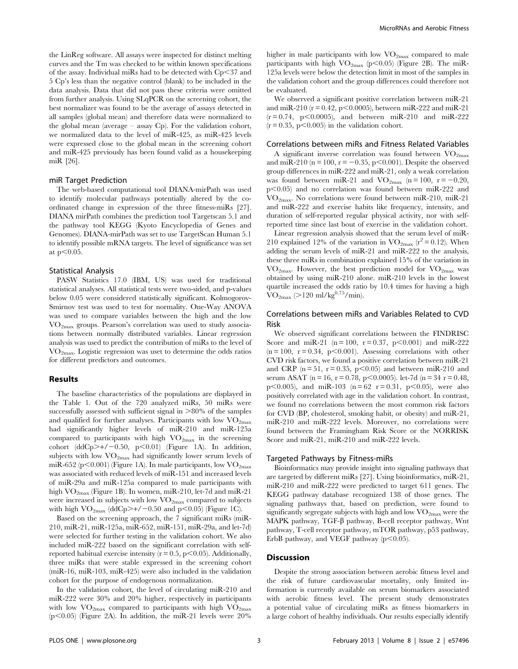the LinReg software. All assays were inspected for distinct melting curves and the Tm was checked to be within known specifications of the assay. Individual miRs had to be detected with  $Cp<37$  and 5 Cp's less than the negative control (blank) to be included in the data analysis. Data that did not pass these criteria were omitted from further analysis. Using SLqPCR on the screening cohort, the best normalizer was found to be the average of assays detected in all samples (global mean) and therefore data were normalized to the global mean (average – assay Cp). For the validation cohort, we normalized data to the level of miR-425, as miR-425 levels were expressed close to the global mean in the screening cohort and miR-425 previously has been found valid as a housekeeping miR [26].

#### miR Target Prediction

The web-based computational tool DIANA-mirPath was used to identify molecular pathways potentially altered by the coordinated change in expression of the three fitness-miRs [27]. DIANA mirPath combines the prediction tool Targetscan 5.1 and the pathway tool KEGG (Kyoto Encyclopedia of Genes and Genomes). DIANA-mirPath was set to use TargetScan Human 5.1 to identify possible mRNA targets. The level of significance was set at  $p<0.05$ .

#### Statistical Analysis

PASW Statistics 17.0 (IBM, US) was used for traditional statistical analyses. All statistical tests were two-sided, and p-values below 0.05 were considered statistically significant. Kolmogorov-Smirnov test was used to test for normality. One-Way ANOVA was used to compare variables between the high and the low  $VO<sub>2max</sub>$  groups. Pearson's correlation was used to study associations between normally distributed variables. Linear regression analysis was used to predict the contribution of miRs to the level of  $\rm VO_{2max}$ . Logistic regression was uset to determine the odds ratios for different predictors and outcomes.

## Results

The baseline characteristics of the populations are displayed in the Table 1. Out of the 720 analyzed miRs, 50 miRs were successfully assessed with sufficient signal in  $>80\%$  of the samples and qualified for further analyses. Participants with low  $VO<sub>2max</sub>$ had significantly higher levels of miR-210 and miR-125a compared to participants with high  $VO_{2max}$  in the screening cohort (ddCp $>+/-0.50$ , p $<0.01$ ) (Figure 1A). In addition, subjects with low  $\rm VO_{2max}$  had significantly lower serum levels of miR-652 (p $\leq$ 0.001) (Figure 1A). In male participants, low VO<sub>2max</sub> was associated with reduced levels of miR-151 and increased levels of miR-29a and miR-125a compared to male participants with high  $VO_{2max}$  (Figure 1B). In women, miR-210, let-7d and miR-21 were increased in subjects with low  $\rm VO_{2max}$  compared to subjects with high  $\text{VO}_{2\text{max}}$  (ddCp>+/-0.50 and p<0.05) (Figure 1C).

Based on the screening approach, the 7 significant miRs (miR-210, miR-21, miR-125a, miR-652, miR-151, miR-29a, and let-7d) were selected for further testing in the validation cohort. We also included miR-222 based on the significant correlation with selfreported habitual exercise intensity ( $r = 0.5$ ,  $p < 0.05$ ). Additionally, three miRs that were stable expressed in the screening cohort (miR-16, miR-103, miR-425) were also included in the validation cohort for the purpose of endogenous normalization.

In the validation cohort, the level of circulating miR-210 and miR-222 were 30% and 20% higher, respectively in participants with low  $VO_{2max}$  compared to participants with high  $VO_{2max}$  $(p<0.05)$  (Figure 2A). In addition, the miR-21 levels were 20% higher in male participants with low  $\rm VO_{2max}$  compared to male participants with high  $VO_{2max}$  (p $\leq$ 0.05) (Figure 2B). The miR-125a levels were below the detection limit in most of the samples in the validation cohort and the group differences could therefore not be evaluated.

We observed a significant positive correlation between miR-21 and miR-210 ( $r = 0.42$ ,  $p < 0.0005$ ), between miR-222 and miR-21  $(r = 0.74, p < 0.0005)$ , and between miR-210 and miR-222  $(r = 0.35, p < 0.005)$  in the validation cohort.

#### Correlations between miRs and Fitness Related Variables

A significant inverse correlation was found between  $VO<sub>2max</sub>$ </sub> and miR-210 (n = 100, r =  $-0.35$ , p $\leq 0.001$ ). Despite the observed group differences in miR-222 and miR-21, only a weak correlation was found between miR-21 and  $VO_{2max}$  (n = 100, r = -0.20,  $p<0.05$ ) and no correlation was found between miR-222 and VO2max. No correlations were found between miR-210, miR-21 and miR-222 and exercise habits like frequency, intensity, and duration of self-reported regular physical activity, nor with selfreported time since last bout of exercise in the validation cohort.

Linear regression analysis showed that the serum level of miR-210 explained 12% of the variation in  $VO_{2max}$  ( $r^2=0.12$ ). When adding the serum levels of miR-21 and miR-222 to the analysis, these three miRs in combination explained 15% of the variation in  $\rm{VO}_{2\text{max}}$ . However, the best prediction model for  $\rm{VO}_{2\text{max}}$  was obtained by using miR-210 alone. miR-210 levels in the lowest quartile increased the odds ratio by 10.4 times for having a high  $\rm \dot{VO}_{2max}$  (>120 ml/kg<sup>0.75</sup>/min).

## Correlations between miRs and Variables Related to CVD Risk

We observed significant correlations between the FINDRISC Score and miR-21 (n = 100, r = 0.37, p<0.001) and miR-222  $(n = 100, r = 0.34, p < 0.001)$ . Assessing correlations with other CVD risk factors, we found a positive correlation between miR-21 and CRP ( $n = 51$ ,  $r = 0.35$ ,  $p < 0.05$ ) and between miR-210 and serum ASAT (n = 16, r = 0.78, p < 0.0005). let-7d (n = 34 r = 0.48, p $<0.005$ ), and miR-103 (n = 62 r = 0.31, p $<0.05$ ), were also positively correlated with age in the validation cohort. In contrast, we found no correlations between the most common risk factors for CVD (BP, cholesterol, smoking habit, or obesity) and miR-21, miR-210 and miR-222 levels. Moreover, no correlations were found between the Framingham Risk Score or the NORRISK Score and miR-21, miR-210 and miR-222 levels.

#### Targeted Pathways by Fitness-miRs

Bioinformatics may provide insight into signaling pathways that are targeted by different miRs [27]. Using bioinformatics, miR-21, miR-210 and miR-222 were predicted to target 611 genes. The KEGG pathway database recognized 138 of those genes. The signaling pathways that, based on prediction, were found to significantly segregate subjects with high and low  $\rm VO_{2max}$  were the MAPK pathway, TGF- $\beta$  pathway, B-cell receptor pathway, Wnt pathway, T-cell receptor pathway, mTOR pathway, p53 pathway, ErbB pathway, and VEGF pathway  $(p<0.05)$ .

## Discussion

Despite the strong association between aerobic fitness level and the risk of future cardiovascular mortality, only limited information is currently available on serum biomarkers associated with aerobic fitness level. The present study demonstrates a potential value of circulating miRs as fitness biomarkers in a large cohort of healthy individuals. Our results especially identify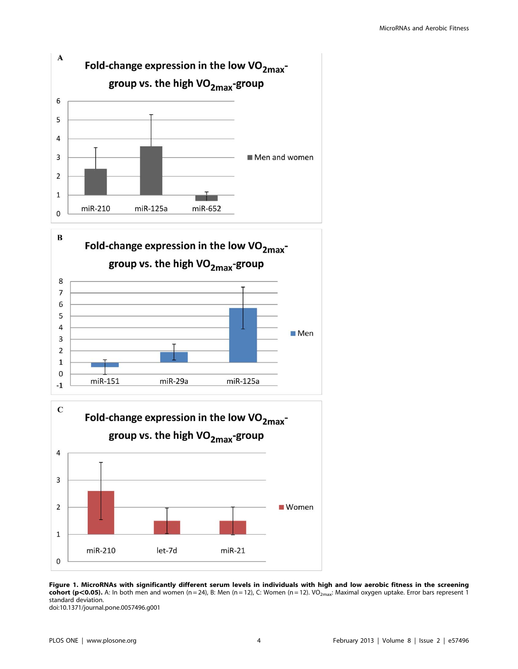

Figure 1. MicroRNAs with significantly different serum levels in individuals with high and low aerobic fitness in the screening cohort (p<0.05). A: In both men and women (n = 24), B: Men (n = 12), C: Women (n = 12). VO<sub>2max</sub>: Maximal oxygen uptake. Error bars represent 1 standard deviation. doi:10.1371/journal.pone.0057496.g001

0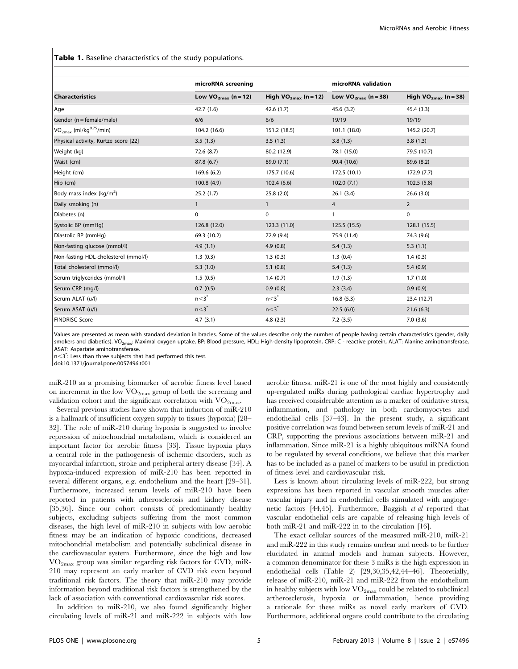Table 1. Baseline characteristics of the study populations.

|                                                 | microRNA screening       |                           | microRNA validation      |                           |
|-------------------------------------------------|--------------------------|---------------------------|--------------------------|---------------------------|
| <b>Characteristics</b>                          | Low $VO_{2max}$ (n = 12) | High $VO_{2max}$ (n = 12) | Low $VO_{2max}$ (n = 38) | High $VO_{2max}$ (n = 38) |
| Age                                             | 42.7 (1.6)               | 42.6 (1.7)                | 45.6(3.2)                | 45.4(3.3)                 |
| Gender (n = female/male)                        | 6/6                      | 6/6                       | 19/19                    | 19/19                     |
| VO <sub>2max</sub> (ml/kg <sup>0.75</sup> /min) | 104.2 (16.6)             | 151.2 (18.5)              | 101.1 (18.0)             | 145.2 (20.7)              |
| Physical activity, Kurtze score [22]            | 3.5(1.3)                 | 3.5(1.3)                  | 3.8(1.3)                 | 3.8(1.3)                  |
| Weight (kg)                                     | 72.6 (8.7)               | 80.2 (12.9)               | 78.1 (15.0)              | 79.5 (10.7)               |
| Waist (cm)                                      | 87.8 (6.7)               | 89.0 (7.1)                | 90.4 (10.6)              | 89.6 (8.2)                |
| Height (cm)                                     | 169.6 (6.2)              | 175.7 (10.6)              | 172.5 (10.1)             | 172.9 (7.7)               |
| Hip (cm)                                        | 100.8(4.9)               | 102.4(6.6)                | 102.0(7.1)               | 102.5(5.8)                |
| Body mass index (kg/m <sup>2</sup> )            | 25.2(1.7)                | 25.8(2.0)                 | 26.1(3.4)                | 26.6(3.0)                 |
| Daily smoking (n)                               | $\mathbf{1}$             | $\mathbf{1}$              | $\overline{4}$           | $\overline{2}$            |
| Diabetes (n)                                    | 0                        | 0                         | 1                        | 0                         |
| Systolic BP (mmHq)                              | 126.8 (12.0)             | 123.3 (11.0)              | 125.5 (15.5)             | 128.1 (15.5)              |
| Diastolic BP (mmHq)                             | 69.3 (10.2)              | 72.9 (9.4)                | 75.9 (11.4)              | 74.3 (9.6)                |
| Non-fasting glucose (mmol/l)                    | 4.9(1.1)                 | 4.9(0.8)                  | 5.4(1.3)                 | 5.3(1.1)                  |
| Non-fasting HDL-cholesterol (mmol/l)            | 1.3(0.3)                 | 1.3(0.3)                  | 1.3(0.4)                 | 1.4(0.3)                  |
| Total cholesterol (mmol/l)                      | 5.3(1.0)                 | 5.1(0.8)                  | 5.4(1.3)                 | 5.4(0.9)                  |
| Serum triglycerides (mmol/l)                    | 1.5(0.5)                 | 1.4(0.7)                  | 1.9(1.3)                 | 1.7(1.0)                  |
| Serum CRP (mg/l)                                | 0.7(0.5)                 | 0.9(0.8)                  | 2.3(3.4)                 | 0.9(0.9)                  |
| Serum ALAT (u/l)                                | n <sub>3</sub>           | n <sub>3</sub>            | 16.8(5.3)                | 23.4 (12.7)               |
| Serum ASAT (u/l)                                | n <sub>3</sub>           | n <sub>3</sub>            | 22.5(6.0)                | 21.6(6.3)                 |
| <b>FINDRISC Score</b>                           | 4.7(3.1)                 | 4.8(2.3)                  | 7.2(3.5)                 | 7.0(3.6)                  |

Values are presented as mean with standard deviation in bracles. Some of the values describe only the number of people having certain characteristics (gender, daily smokers and diabetics). VO<sub>2max</sub>: Maximal oxygen uptake, BP: Blood pressure, HDL: High-density lipoprotein, CRP: C - reactive protein, ALAT: Alanine aminotransferase, ASAT: Aspartate aminotransferase.

n<3<sup>\*</sup>: Less than three subjects that had performed this test.

doi:10.1371/journal.pone.0057496.t001

miR-210 as a promising biomarker of aerobic fitness level based on increment in the low  $VO_{2max}$  group of both the screening and validation cohort and the significant correlation with  $\rm VO_{2max}$ .

Several previous studies have shown that induction of miR-210 is a hallmark of insufficient oxygen supply to tissues (hypoxia) [28– 32]. The role of miR-210 during hypoxia is suggested to involve repression of mitochondrial metabolism, which is considered an important factor for aerobic fitness [33]. Tissue hypoxia plays a central role in the pathogenesis of ischemic disorders, such as myocardial infarction, stroke and peripheral artery disease [34]. A hypoxia-induced expression of miR-210 has been reported in several different organs, e.g. endothelium and the heart [29–31]. Furthermore, increased serum levels of miR-210 have been reported in patients with atherosclerosis and kidney disease [35,36]. Since our cohort consists of predominantly healthy subjects, excluding subjects suffering from the most common diseases, the high level of miR-210 in subjects with low aerobic fitness may be an indication of hypoxic conditions, decreased mitochondrial metabolism and potentially subclinical disease in the cardiovascular system. Furthermore, since the high and low  $VO_{2max}$  group was similar regarding risk factors for CVD, miR-210 may represent an early marker of CVD risk even beyond traditional risk factors. The theory that miR-210 may provide information beyond traditional risk factors is strengthened by the lack of association with conventional cardiovascular risk scores.

In addition to miR-210, we also found significantly higher circulating levels of miR-21 and miR-222 in subjects with low aerobic fitness. miR-21 is one of the most highly and consistently up-regulated miRs during pathological cardiac hypertrophy and has received considerable attention as a marker of oxidative stress, inflammation, and pathology in both cardiomyocytes and endothelial cells [37–43]. In the present study, a significant positive correlation was found between serum levels of miR-21 and CRP, supporting the previous associations between miR-21 and inflammation. Since miR-21 is a highly ubiquitous miRNA found to be regulated by several conditions, we believe that this marker has to be included as a panel of markers to be usuful in prediction of fitness level and cardiovascular risk.

Less is known about circulating levels of miR-222, but strong expressions has been reported in vascular smooth muscles after vascular injury and in endothelial cells stimulated with angiogenetic factors [44,45]. Furthermore, Baggish et al reported that vascular endothelial cells are capable of releasing high levels of both miR-21 and miR-222 in to the circulation [16].

The exact cellular sources of the measured miR-210, miR-21 and miR-222 in this study remains unclear and needs to be further elucidated in animal models and human subjects. However, a common denominator for these 3 miRs is the high expression in endothelial cells (Table 2) [29,30,35,42,44–46]. Theoretially, release of miR-210, miR-21 and miR-222 from the endothelium in healthy subjects with low  $\rm VO_{2max}$  could be related to subclinical artherosclerosis, hypoxia or inflammation, hence providing a rationale for these miRs as novel early markers of CVD. Furthermore, additional organs could contribute to the circulating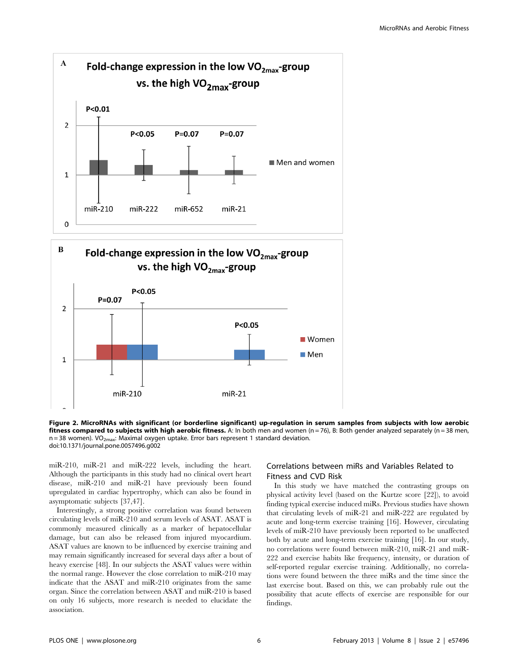

Figure 2. MicroRNAs with significant (or borderline significant) up-regulation in serum samples from subjects with low aerobic fitness compared to subjects with high aerobic fitness. A: In both men and women ( $n = 76$ ), B: Both gender analyzed separately ( $n = 38$  men,  $n = 38$  women). VO<sub>2max</sub>: Maximal oxygen uptake. Error bars represent 1 standard deviation. doi:10.1371/journal.pone.0057496.g002

miR-210, miR-21 and miR-222 levels, including the heart. Although the participants in this study had no clinical overt heart disease, miR-210 and miR-21 have previously been found upregulated in cardiac hypertrophy, which can also be found in asymptomatic subjects [37,47].

Interestingly, a strong positive correlation was found between circulating levels of miR-210 and serum levels of ASAT. ASAT is commonly measured clinically as a marker of hepatocellular damage, but can also be released from injured myocardium. ASAT values are known to be influenced by exercise training and may remain significantly increased for several days after a bout of heavy exercise [48]. In our subjects the ASAT values were within the normal range. However the close correlation to miR-210 may indicate that the ASAT and miR-210 originates from the same organ. Since the correlation between ASAT and miR-210 is based on only 16 subjects, more research is needed to elucidate the association.

## Correlations between miRs and Variables Related to Fitness and CVD Risk

In this study we have matched the contrasting groups on physical activity level (based on the Kurtze score [22]), to avoid finding typical exercise induced miRs. Previous studies have shown that circulating levels of miR-21 and miR-222 are regulated by acute and long-term exercise training [16]. However, circulating levels of miR-210 have previously been reported to be unaffected both by acute and long-term exercise training [16]. In our study, no correlations were found between miR-210, miR-21 and miR-222 and exercise habits like frequency, intensity, or duration of self-reported regular exercise training. Additionally, no correlations were found between the three miRs and the time since the last exercise bout. Based on this, we can probably rule out the possibility that acute effects of exercise are responsible for our findings.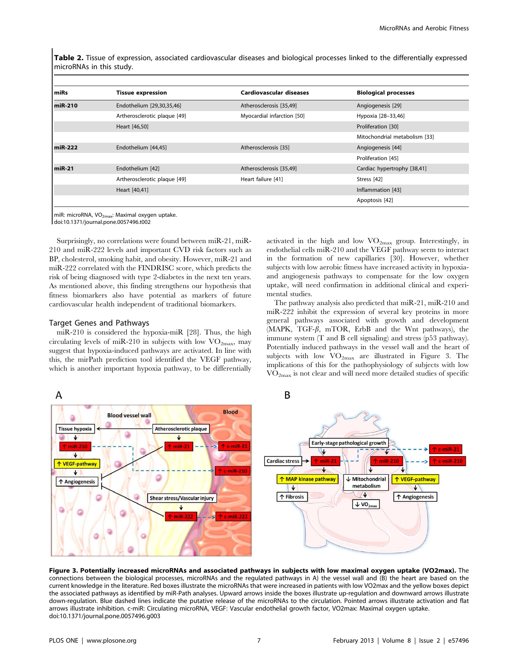Table 2. Tissue of expression, associated cardiovascular diseases and biological processes linked to the differentially expressed microRNAs in this study.

| miRs      | <b>Tissue expression</b>     | Cardiovascular diseases    | <b>Biological processes</b>   |
|-----------|------------------------------|----------------------------|-------------------------------|
| $miR-210$ | Endothelium [29,30,35,46]    | Atherosclerosis [35,49]    | Angiogenesis [29]             |
|           | Artherosclerotic plaque [49] | Myocardial infarction [50] | Hypoxia [28-33,46]            |
|           | Heart [46,50]                |                            | Proliferation [30]            |
|           |                              |                            | Mitochondrial metabolism [33] |
| miR-222   | Endothelium [44,45]          | Atherosclerosis [35]       | Angiogenesis [44]             |
|           |                              |                            | Proliferation [45]            |
| $miR-21$  | Endothelium [42]             | Atherosclerosis [35,49]    | Cardiac hypertrophy [38,41]   |
|           | Artherosclerotic plaque [49] | Heart failure [41]         | Stress [42]                   |
|           | Heart [40,41]                |                            | Inflammation [43]             |
|           |                              |                            | Apoptosis [42]                |

miR: microRNA, VO<sub>2max</sub>: Maximal oxygen uptake.

doi:10.1371/journal.pone.0057496.t002

Surprisingly, no correlations were found between miR-21, miR-210 and miR-222 levels and important CVD risk factors such as BP, cholesterol, smoking habit, and obesity. However, miR-21 and miR-222 correlated with the FINDRISC score, which predicts the risk of being diagnosed with type 2-diabetes in the next ten years. As mentioned above, this finding strengthens our hypothesis that fitness biomarkers also have potential as markers of future cardiovascular health independent of traditional biomarkers.

## Target Genes and Pathways

miR-210 is considered the hypoxia-miR [28]. Thus, the high circulating levels of miR-210 in subjects with low  $VO_{2max}$ , may suggest that hypoxia-induced pathways are activated. In line with this, the mirPath prediction tool identified the VEGF pathway, which is another important hypoxia pathway, to be differentially activated in the high and low  $\rm VO_{2max}$  group. Interestingly, in endothelial cells miR-210 and the VEGF pathway seem to interact in the formation of new capillaries [30]. However, whether subjects with low aerobic fitness have increased activity in hypoxiaand angiogenesis pathways to compensate for the low oxygen uptake, will need confirmation in additional clinical and experimental studies.

The pathway analysis also predicted that miR-21, miR-210 and miR-222 inhibit the expression of several key proteins in more general pathways associated with growth and development  $(MAPK, TGF- $\beta$ , mTOR, ErbB and the Wnt pathways), the$ immune system (T and B cell signaling) and stress (p53 pathway). Potentially induced pathways in the vessel wall and the heart of subjects with low  $\rm{VO}_{2max}$  are illustrated in Figure 3. The implications of this for the pathophysiology of subjects with low VO2max is not clear and will need more detailed studies of specific



Figure 3. Potentially increased microRNAs and associated pathways in subjects with low maximal oxygen uptake (VO2max). The connections between the biological processes, microRNAs and the regulated pathways in A) the vessel wall and (B) the heart are based on the current knowledge in the literature. Red boxes illustrate the microRNAs that were increased in patients with low VO2max and the yellow boxes depict the associated pathways as identified by miR-Path analyses. Upward arrows inside the boxes illustrate up-regulation and downward arrows illustrate down-regulation. Blue dashed lines indicate the putative release of the microRNAs to the circulation. Pointed arrows illustrate activation and flat arrows illustrate inhibition. c-miR: Circulating microRNA, VEGF: Vascular endothelial growth factor, VO2max: Maximal oxygen uptake. doi:10.1371/journal.pone.0057496.g003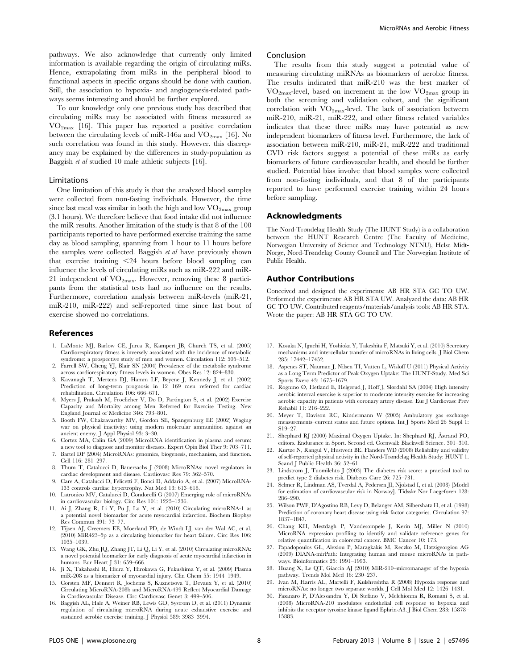pathways. We also acknowledge that currently only limited information is available regarding the origin of circulating miRs. Hence, extrapolating from miRs in the peripheral blood to functional aspects in specific organs should be done with caution. Still, the association to hypoxia- and angiogenesis-related pathways seems interesting and should be further explored.

To our knowledge only one previous study has described that circulating miRs may be associated with fitness measured as  $VO_{2max}$  [16]. This paper has reported a positive correlation between the circulating levels of miR-146a and  $VO_{2max}$  [16]. No such correlation was found in this study. However, this discrepancy may be explained by the differences in study-population as Baggish et al studied 10 male athletic subjects [16].

#### Limitations

One limitation of this study is that the analyzed blood samples were collected from non-fasting individuals. However, the time since last meal was similar in both the high and low  $VO_{2max}$  group (3.1 hours). We therefore believe that food intake did not influence the miR results. Another limitation of the study is that 8 of the 100 participants reported to have performed exercise training the same day as blood sampling, spanning from 1 hour to 11 hours before the samples were collected. Baggish et al have previously shown that exercise training  $\leq$ 24 hours before blood sampling can influence the levels of circulating miRs such as miR-222 and miR-21 independent of  $VO_{2m}$ . However, removing these 8 participants from the statistical tests had no influence on the results. Furthermore, correlation analysis between miR-levels (miR-21, miR-210, miR-222) and self-reported time since last bout of exercise showed no correlations.

#### References

- 1. LaMonte MJ, Barlow CE, Jurca R, Kampert JB, Church TS, et al. (2005) Cardiorespiratory fitness is inversely associated with the incidence of metabolic syndrome: a prospective study of men and women. Circulation 112: 505–512.
- 2. Farrell SW, Cheng YJ, Blair SN (2004) Prevalence of the metabolic syndrome across cardiorespiratory fitness levels in women. Obes Res 12: 824–830.
- 3. Kavanagh T, Mertens DJ, Hamm LF, Beyene J, Kennedy J, et al. (2002) Prediction of long-term prognosis in 12 169 men referred for cardiac rehabilitation. Circulation 106: 666–671.
- 4. Myers J, Prakash M, Froelicher V, Do D, Partington S, et al. (2002) Exercise Capacity and Mortality among Men Referred for Exercise Testing. New England Journal of Medicine 346: 793–801.
- 5. Booth FW, Chakravarthy MV, Gordon SE, Spangenburg EE (2002) Waging war on physical inactivity: using modern molecular ammunition against an ancient enemy. J Appl Physiol 93: 3–30.
- 6. Cortez MA, Calin GA (2009) MicroRNA identification in plasma and serum: a new tool to diagnose and monitor diseases. Expert Opin Biol Ther 9: 703–711.
- 7. Bartel DP (2004) MicroRNAs: genomics, biogenesis, mechanism, and function. Cell 116: 281–297.
- 8. Thum T, Catalucci D, Bauersachs J (2008) MicroRNAs: novel regulators in cardiac development and disease. Cardiovasc Res 79: 562–570.
- 9. Care A, Catalucci D, Felicetti F, Bonci D, Addario A, et al. (2007) MicroRNA-133 controls cardiac hypertrophy. Nat Med 13: 613–618.
- 10. Latronico MV, Catalucci D, Condorelli G (2007) Emerging role of microRNAs in cardiovascular biology. Circ Res 101: 1225–1236.
- 11. Ai J, Zhang R, Li Y, Pu J, Lu Y, et al. (2010) Circulating microRNA-1 as a potential novel biomarker for acute myocardial infarction. Biochem Biophys Res Commun 391: 73–77.
- 12. Tijsen AJ, Creemers EE, Moerland PD, de Windt LJ, van der Wal AC, et al. (2010) MiR423–5p as a circulating biomarker for heart failure. Circ Res 106: 1035–1039.
- 13. Wang GK, Zhu JQ, Zhang JT, Li Q, Li Y, et al. (2010) Circulating microRNA: a novel potential biomarker for early diagnosis of acute myocardial infarction in humans. Eur Heart I 31: 659-666.
- 14. Ji X, Takahashi R, Hiura Y, Hirokawa G, Fukushima Y, et al. (2009) Plasma miR-208 as a biomarker of myocardial injury. Clin Chem 55: 1944–1949.
- 15. Corsten MF, Dennert R, Jochems S, Kuznetsova T, Devaux Y, et al. (2010) Circulating MicroRNA-208b and MicroRNA-499 Reflect Myocardial Damage in Cardiovascular Disease. Circ Cardiovasc Genet 3: 499–506.
- 16. Baggish AL, Hale A, Weiner RB, Lewis GD, Systrom D, et al. (2011) Dynamic regulation of circulating microRNA during acute exhaustive exercise and sustained aerobic exercise training. J Physiol 589: 3983–3994.

#### Conclusion

The results from this study suggest a potential value of measuring circulating miRNAs as biomarkers of aerobic fitness. The results indicated that miR-210 was the best marker of VO2max-level, based on increment in the low VO2max group in both the screening and validation cohort, and the significant correlation with  $VO_{2max}$ -level. The lack of association between miR-210, miR-21, miR-222, and other fitness related variables indicates that these three miRs may have potential as new independent biomarkers of fitness level. Furthermore, the lack of association between miR-210, miR-21, miR-222 and traditional CVD risk factors suggest a potential of these miRs as early biomarkers of future cardiovascular health, and should be further studied. Potential bias involve that blood samples were collected from non-fasting individuals, and that 8 of the participants reported to have performed exercise training within 24 hours before sampling.

## Acknowledgments

The Nord-Trøndelag Health Study (The HUNT Study) is a collaboration between the HUNT Research Centre (The Faculty of Medicine, Norwegian University of Science and Technology NTNU), Helse Midt-Norge, Nord-Trøndelag County Council and The Norwegian Institute of Public Health.

#### Author Contributions

Conceived and designed the experiments: AB HR STA GC TO UW. Performed the experiments: AB HR STA UW. Analyzed the data: AB HR GC TO UW. Contributed reagents/materials/analysis tools: AB HR STA. Wrote the paper: AB HR STA GC TO UW.

- 17. Kosaka N, Iguchi H, Yoshioka Y, Takeshita F, Matsuki Y, et al. (2010) Secretory mechanisms and intercellular transfer of microRNAs in living cells. J Biol Chem 285: 17442–17452.
- 18. Aspenes ST, Nauman J, Nilsen TI, Vatten L, Wisloff U (2011) Physical Activity as a Long Term Predictor of Peak Oxygen Uptake: The HUNT-Study. Med Sci Sports Exerc 43: 1675–1679.
- 19. Rognmo Ø, Hetland E, Helgerud J, Hoff J, Slørdahl SA (2004) High intensity aerobic interval exercise is superior to moderate intensity exercise for increasing aerobic capacity in patients with coronary artery disease. Eur J Cardiovasc Prev Rehabil 11: 216–222.
- 20. Meyer T, Davison RC, Kindermann W (2005) Ambulatory gas exchange measurements–current status and future options. Int J Sports Med 26 Suppl 1: S19–27.
- 21. Shephard RJ (2000) Maximal Oxygen Uptake. In: Shephard RJ, Åstrand PO, editors. Endurance in Sport. Second ed. Cornwall: Blackwell Science. 301–310.
- 22. Kurtze N, Rangul V, Hustvedt BE, Flanders WD (2008) Reliability and validity of self-reported physical activity in the Nord-Trøndelag Health Study: HUNT 1. Scand J Public Health 36: 52–61.
- 23. Lindstrom J, Tuomilehto J (2003) The diabetes risk score: a practical tool to predict type 2 diabetes risk. Diabetes Care 26: 725–731.
- 24. Selmer R, Lindman AS, Tverdal A, Pedersen JI, Njolstad I, et al. (2008) [Model for estimation of cardiovascular risk in Norway]. Tidsskr Nor Laegeforen 128: 286–290.
- 25. Wilson PWF, D'Agostino RB, Levy D, Belanger AM, Silbershatz H, et al. (1998) Prediction of coronary heart disease using risk factor categories. Circulation 97: 1837–1847.
- 26. Chang KH, Mestdagh P, Vandesompele J, Kerin MJ, Miller N (2010) MicroRNA expression profiling to identify and validate reference genes for relative quantification in colorectal cancer. BMC Cancer 10: 173.
- 27. Papadopoulos GL, Alexiou P, Maragkakis M, Reczko M, Hatzigeorgiou AG (2009) DIANA-mirPath: Integrating human and mouse microRNAs in pathways. Bioinformatics 25: 1991–1993.
- 28. Huang X, Le QT, Giaccia AJ (2010) MiR-210–micromanager of the hypoxia pathway. Trends Mol Med 16: 230–237.
- 29. Ivan M, Harris AL, Martelli F, Kulshreshtha R (2008) Hypoxia response and microRNAs: no longer two separate worlds. J Cell Mol Med 12: 1426–1431.
- 30. Fasanaro P, D'Alessandra Y, Di Stefano V, Melchionna R, Romani S, et al. (2008) MicroRNA-210 modulates endothelial cell response to hypoxia and inhibits the receptor tyrosine kinase ligand Ephrin-A3. J Biol Chem 283: 15878– 15883.